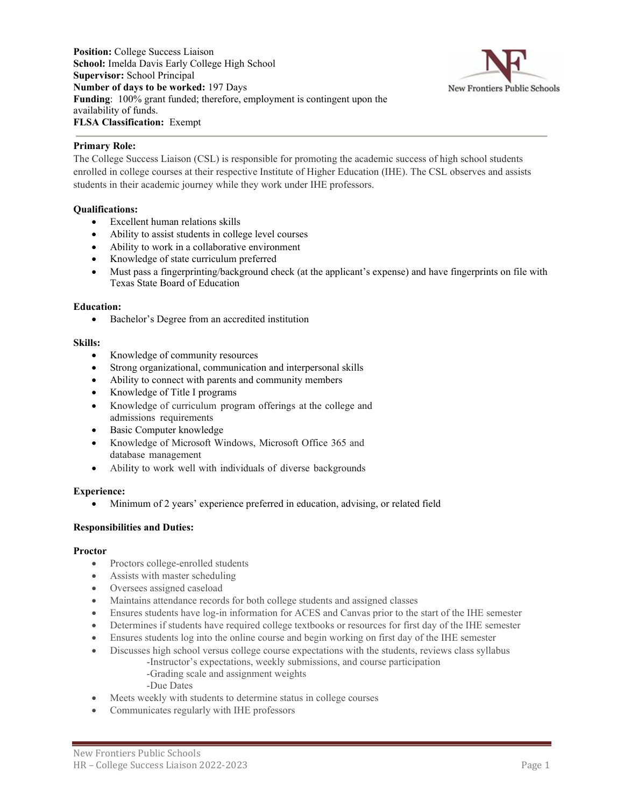**Position:** College Success Liaison **School:** Imelda Davis Early College High School **Supervisor:** School Principal **Number of days to be worked:** 197 Days **Funding**: 100% grant funded; therefore, employment is contingent upon the availability of funds. **FLSA Classification:** Exempt



# **Primary Role:**

The College Success Liaison (CSL) is responsible for promoting the academic success of high school students enrolled in college courses at their respective Institute of Higher Education (IHE). The CSL observes and assists students in their academic journey while they work under IHE professors.

# **Qualifications:**

- Excellent human relations skills
- Ability to assist students in college level courses
- Ability to work in a collaborative environment
- Knowledge of state curriculum preferred
- Must pass a fingerprinting/background check (at the applicant's expense) and have fingerprints on file with Texas State Board of Education

## **Education:**

• Bachelor's Degree from an accredited institution

## **Skills:**

- Knowledge of community resources
- Strong organizational, communication and interpersonal skills
- Ability to connect with parents and community members
- Knowledge of Title I programs
- Knowledge of curriculum program offerings at the college and admissions requirements
- Basic Computer knowledge
- Knowledge of Microsoft Windows, Microsoft Office 365 and database management
- Ability to work well with individuals of diverse backgrounds

#### **Experience:**

• Minimum of 2 years' experience preferred in education, advising, or related field

# **Responsibilities and Duties:**

#### **Proctor**

- Proctors college-enrolled students
- Assists with master scheduling
- Oversees assigned caseload
- Maintains attendance records for both college students and assigned classes
- Ensures students have log-in information for ACES and Canvas prior to the start of the IHE semester
- Determines if students have required college textbooks or resources for first day of the IHE semester
- Ensures students log into the online course and begin working on first day of the IHE semester
- Discusses high school versus college course expectations with the students, reviews class syllabus -Instructor's expectations, weekly submissions, and course participation
	- -Grading scale and assignment weights
	- -Due Dates
- Meets weekly with students to determine status in college courses
- Communicates regularly with IHE professors